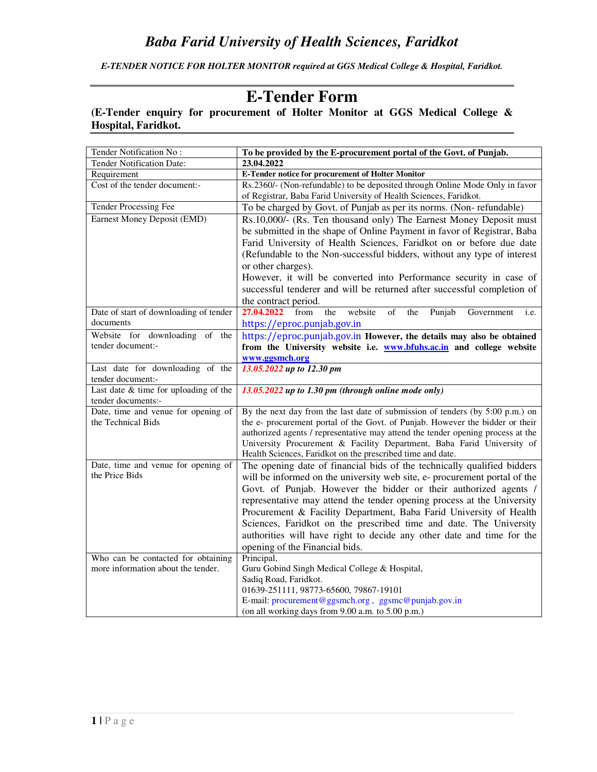*E-TENDER NOTICE FOR HOLTER MONITOR required at GGS Medical College & Hospital, Faridkot.* 

# **E-Tender Form**

## **(E-Tender enquiry for procurement of Holter Monitor at GGS Medical College & Hospital, Faridkot.**

| Tender Notification No:                                                  | To be provided by the E-procurement portal of the Govt. of Punjab.                |  |
|--------------------------------------------------------------------------|-----------------------------------------------------------------------------------|--|
| <b>Tender Notification Date:</b>                                         | 23.04.2022                                                                        |  |
| Requirement                                                              | <b>E-Tender notice for procurement of Holter Monitor</b>                          |  |
| Cost of the tender document:-                                            | Rs. 2360/- (Non-refundable) to be deposited through Online Mode Only in favor     |  |
|                                                                          | of Registrar, Baba Farid University of Health Sciences, Faridkot.                 |  |
| <b>Tender Processing Fee</b>                                             | To be charged by Govt. of Punjab as per its norms. (Non-refundable)               |  |
| Earnest Money Deposit (EMD)                                              | Rs.10,000/- (Rs. Ten thousand only) The Earnest Money Deposit must                |  |
|                                                                          | be submitted in the shape of Online Payment in favor of Registrar, Baba           |  |
|                                                                          | Farid University of Health Sciences, Faridkot on or before due date               |  |
|                                                                          | (Refundable to the Non-successful bidders, without any type of interest           |  |
|                                                                          | or other charges).                                                                |  |
|                                                                          | However, it will be converted into Performance security in case of                |  |
|                                                                          | successful tenderer and will be returned after successful completion of           |  |
|                                                                          | the contract period.                                                              |  |
| Date of start of downloading of tender                                   | 27.04.2022<br>from<br>website<br>of<br>the<br>the<br>Punjab<br>Government<br>i.e. |  |
| documents                                                                | https://eproc.punjab.gov.in                                                       |  |
| Website for downloading of the                                           | https://eproc.punjab.gov.in However, the details may also be obtained             |  |
| tender document:-                                                        | from the University website i.e. www.bfuhs.ac.in and college website              |  |
|                                                                          | www.ggsmch.org                                                                    |  |
| Last date for downloading of the<br>tender document:-                    | 13.05.2022 up to 12.30 pm                                                         |  |
| Last date $&$ time for uploading of the                                  | 13.05.2022 up to 1.30 pm (through online mode only)                               |  |
| tender documents:-                                                       |                                                                                   |  |
| Date, time and venue for opening of                                      | By the next day from the last date of submission of tenders (by 5:00 p.m.) on     |  |
| the Technical Bids                                                       | the e- procurement portal of the Govt. of Punjab. However the bidder or their     |  |
|                                                                          | authorized agents / representative may attend the tender opening process at the   |  |
|                                                                          | University Procurement & Facility Department, Baba Farid University of            |  |
|                                                                          | Health Sciences, Faridkot on the prescribed time and date.                        |  |
| Date, time and venue for opening of                                      | The opening date of financial bids of the technically qualified bidders           |  |
| the Price Bids                                                           | will be informed on the university web site, e- procurement portal of the         |  |
|                                                                          | Govt. of Punjab. However the bidder or their authorized agents /                  |  |
|                                                                          | representative may attend the tender opening process at the University            |  |
|                                                                          | Procurement & Facility Department, Baba Farid University of Health                |  |
|                                                                          | Sciences, Faridkot on the prescribed time and date. The University                |  |
|                                                                          | authorities will have right to decide any other date and time for the             |  |
|                                                                          | opening of the Financial bids.                                                    |  |
| Who can be contacted for obtaining<br>more information about the tender. | Principal,                                                                        |  |
|                                                                          | Guru Gobind Singh Medical College & Hospital,<br>Sadiq Road, Faridkot.            |  |
|                                                                          | 01639-251111, 98773-65600, 79867-19101                                            |  |
|                                                                          | E-mail: procurement@ggsmch.org, ggsmc@punjab.gov.in                               |  |
|                                                                          | (on all working days from 9.00 a.m. to 5.00 p.m.)                                 |  |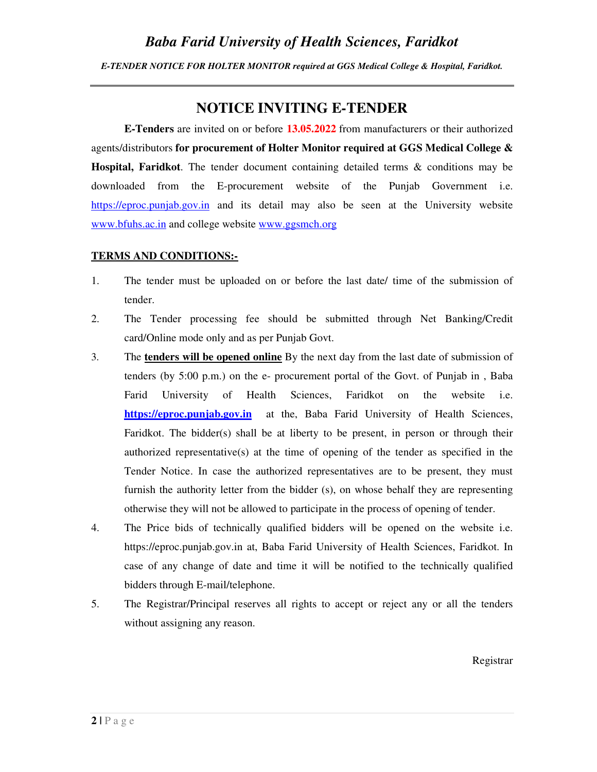*E-TENDER NOTICE FOR HOLTER MONITOR required at GGS Medical College & Hospital, Faridkot.* 

## **NOTICE INVITING E-TENDER**

**E-Tenders** are invited on or before **13.05.2022** from manufacturers or their authorized agents/distributors **for procurement of Holter Monitor required at GGS Medical College & Hospital, Faridkot**. The tender document containing detailed terms & conditions may be downloaded from the E-procurement website of the Punjab Government i.e. https://eproc.punjab.gov.in and its detail may also be seen at the University website www.bfuhs.ac.in and college website www.ggsmch.org

#### **TERMS AND CONDITIONS:-**

- 1. The tender must be uploaded on or before the last date/ time of the submission of tender.
- 2. The Tender processing fee should be submitted through Net Banking/Credit card/Online mode only and as per Punjab Govt.
- 3. The **tenders will be opened online** By the next day from the last date of submission of tenders (by 5:00 p.m.) on the e- procurement portal of the Govt. of Punjab in , Baba Farid University of Health Sciences, Faridkot on the website i.e. **https://eproc.punjab.gov.in** at the, Baba Farid University of Health Sciences, Faridkot. The bidder(s) shall be at liberty to be present, in person or through their authorized representative(s) at the time of opening of the tender as specified in the Tender Notice. In case the authorized representatives are to be present, they must furnish the authority letter from the bidder (s), on whose behalf they are representing otherwise they will not be allowed to participate in the process of opening of tender.
- 4. The Price bids of technically qualified bidders will be opened on the website i.e. https://eproc.punjab.gov.in at, Baba Farid University of Health Sciences, Faridkot. In case of any change of date and time it will be notified to the technically qualified bidders through E-mail/telephone.
- 5. The Registrar/Principal reserves all rights to accept or reject any or all the tenders without assigning any reason.

Registrar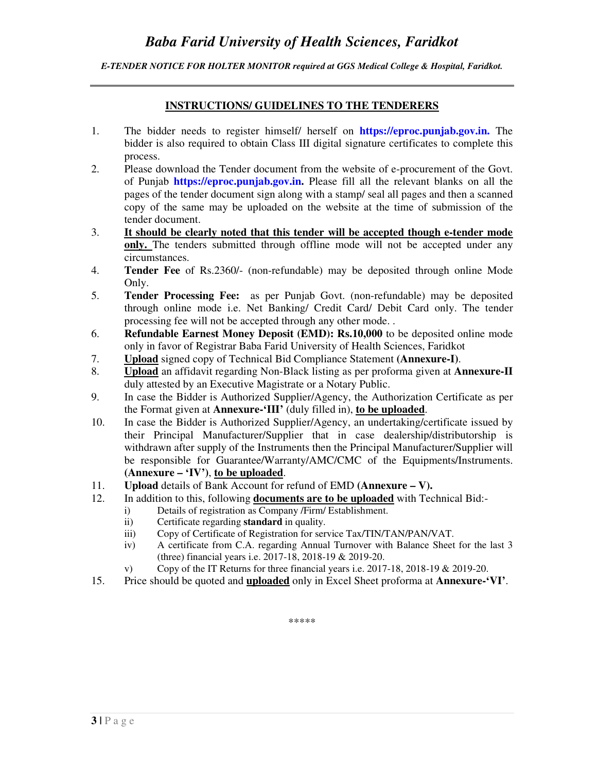*E-TENDER NOTICE FOR HOLTER MONITOR required at GGS Medical College & Hospital, Faridkot.* 

#### **INSTRUCTIONS/ GUIDELINES TO THE TENDERERS**

- 1. The bidder needs to register himself/ herself on **https://eproc.punjab.gov.in.** The bidder is also required to obtain Class III digital signature certificates to complete this process.
- 2. Please download the Tender document from the website of e-procurement of the Govt. of Punjab **https://eproc.punjab.gov.in.** Please fill all the relevant blanks on all the pages of the tender document sign along with a stamp/ seal all pages and then a scanned copy of the same may be uploaded on the website at the time of submission of the tender document.
- 3. **It should be clearly noted that this tender will be accepted though e-tender mode only.** The tenders submitted through offline mode will not be accepted under any circumstances.
- 4. **Tender Fee** of Rs.2360/- (non-refundable) may be deposited through online Mode Only.
- 5. **Tender Processing Fee:** as per Punjab Govt. (non-refundable) may be deposited through online mode i.e. Net Banking/ Credit Card/ Debit Card only. The tender processing fee will not be accepted through any other mode. .
- 6. **Refundable Earnest Money Deposit (EMD): Rs.10,000** to be deposited online mode only in favor of Registrar Baba Farid University of Health Sciences, Faridkot
- 7. **Upload** signed copy of Technical Bid Compliance Statement **(Annexure-I)**.
- 8. **Upload** an affidavit regarding Non-Black listing as per proforma given at **Annexure-II**  duly attested by an Executive Magistrate or a Notary Public.
- 9. In case the Bidder is Authorized Supplier/Agency, the Authorization Certificate as per the Format given at **Annexure-'III'** (duly filled in), **to be uploaded**.
- 10. In case the Bidder is Authorized Supplier/Agency, an undertaking/certificate issued by their Principal Manufacturer/Supplier that in case dealership/distributorship is withdrawn after supply of the Instruments then the Principal Manufacturer/Supplier will be responsible for Guarantee/Warranty/AMC/CMC of the Equipments/Instruments. **(Annexure – 'IV')**, **to be uploaded**.
- 11. **Upload** details of Bank Account for refund of EMD **(Annexure V).**
- 12. In addition to this, following **documents are to be uploaded** with Technical Bid:
	- i) Details of registration as Company /Firm/ Establishment.
		- ii) Certificate regarding **standard** in quality.
		- iii) Copy of Certificate of Registration for service Tax/TIN/TAN/PAN/VAT.
		- iv) A certificate from C.A. regarding Annual Turnover with Balance Sheet for the last 3 (three) financial years i.e. 2017-18, 2018-19 & 2019-20.
		- v) Copy of the IT Returns for three financial years i.e. 2017-18, 2018-19 & 2019-20.
- 15. Price should be quoted and **uploaded** only in Excel Sheet proforma at **Annexure-'VI'**.

\*\*\*\*\*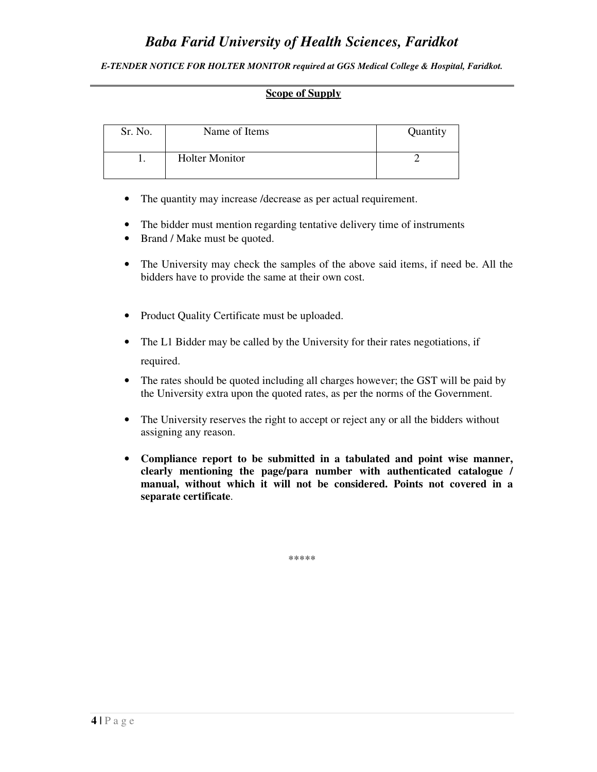*E-TENDER NOTICE FOR HOLTER MONITOR required at GGS Medical College & Hospital, Faridkot.* 

#### **Scope of Supply**

| Sr. No. | Name of Items         | Quantity |
|---------|-----------------------|----------|
|         | <b>Holter Monitor</b> |          |

- The quantity may increase /decrease as per actual requirement.
- The bidder must mention regarding tentative delivery time of instruments
- Brand / Make must be quoted.
- The University may check the samples of the above said items, if need be. All the bidders have to provide the same at their own cost.
- Product Quality Certificate must be uploaded.
- The L1 Bidder may be called by the University for their rates negotiations, if required.
- The rates should be quoted including all charges however; the GST will be paid by the University extra upon the quoted rates, as per the norms of the Government.
- The University reserves the right to accept or reject any or all the bidders without assigning any reason.
- **Compliance report to be submitted in a tabulated and point wise manner, clearly mentioning the page/para number with authenticated catalogue / manual, without which it will not be considered. Points not covered in a separate certificate**.

\*\*\*\*\*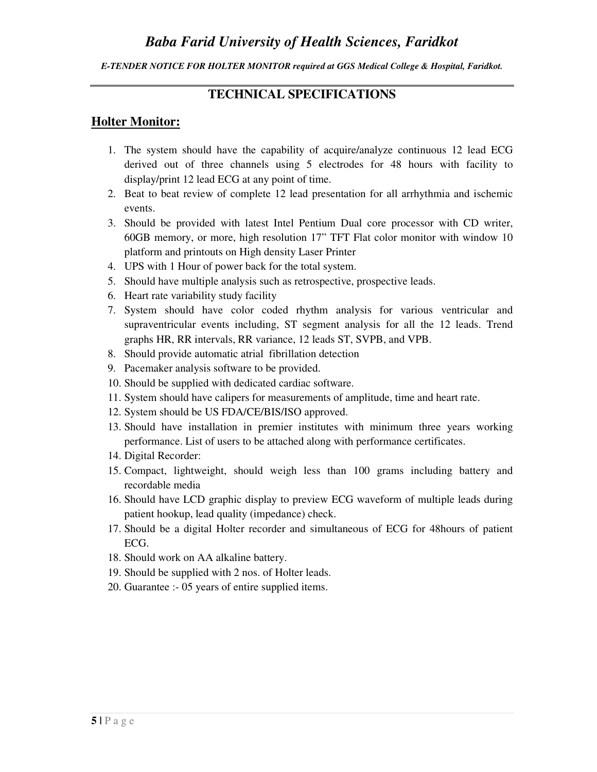#### *E-TENDER NOTICE FOR HOLTER MONITOR required at GGS Medical College & Hospital, Faridkot.*

## **TECHNICAL SPECIFICATIONS**

## **Holter Monitor:**

- 1. The system should have the capability of acquire/analyze continuous 12 lead ECG derived out of three channels using 5 electrodes for 48 hours with facility to display/print 12 lead ECG at any point of time.
- 2. Beat to beat review of complete 12 lead presentation for all arrhythmia and ischemic events.
- 3. Should be provided with latest Intel Pentium Dual core processor with CD writer, 60GB memory, or more, high resolution 17" TFT Flat color monitor with window 10 platform and printouts on High density Laser Printer
- 4. UPS with 1 Hour of power back for the total system.
- 5. Should have multiple analysis such as retrospective, prospective leads.
- 6. Heart rate variability study facility
- 7. System should have color coded rhythm analysis for various ventricular and supraventricular events including, ST segment analysis for all the 12 leads. Trend graphs HR, RR intervals, RR variance, 12 leads ST, SVPB, and VPB.
- 8. Should provide automatic atrial fibrillation detection
- 9. Pacemaker analysis software to be provided.
- 10. Should be supplied with dedicated cardiac software.
- 11. System should have calipers for measurements of amplitude, time and heart rate.
- 12. System should be US FDA/CE/BIS/ISO approved.
- 13. Should have installation in premier institutes with minimum three years working performance. List of users to be attached along with performance certificates.
- 14. Digital Recorder:
- 15. Compact, lightweight, should weigh less than 100 grams including battery and recordable media
- 16. Should have LCD graphic display to preview ECG waveform of multiple leads during patient hookup, lead quality (impedance) check.
- 17. Should be a digital Holter recorder and simultaneous of ECG for 48hours of patient ECG.
- 18. Should work on AA alkaline battery.
- 19. Should be supplied with 2 nos. of Holter leads.
- 20. Guarantee :- 05 years of entire supplied items.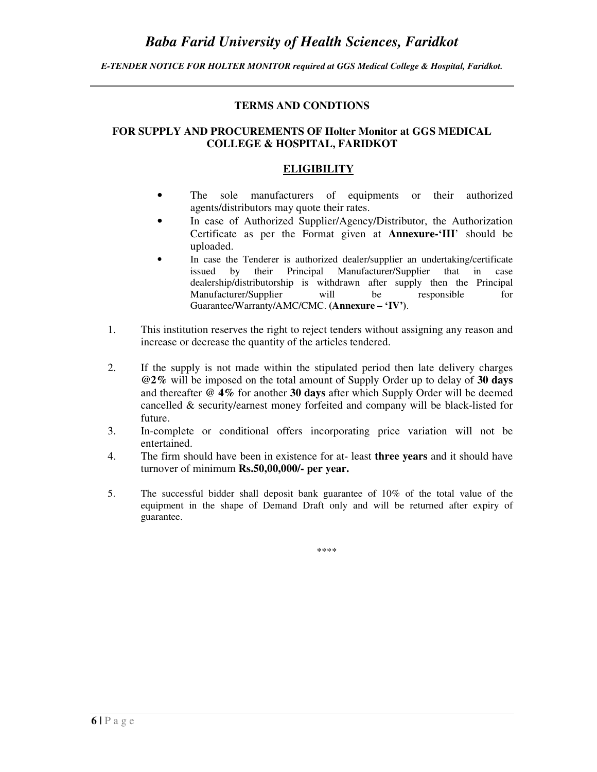*E-TENDER NOTICE FOR HOLTER MONITOR required at GGS Medical College & Hospital, Faridkot.* 

#### **TERMS AND CONDTIONS**

#### **FOR SUPPLY AND PROCUREMENTS OF Holter Monitor at GGS MEDICAL COLLEGE & HOSPITAL, FARIDKOT**

#### **ELIGIBILITY**

- The sole manufacturers of equipments or their authorized agents/distributors may quote their rates.
- In case of Authorized Supplier/Agency/Distributor, the Authorization Certificate as per the Format given at **Annexure-'III**' should be uploaded.
- In case the Tenderer is authorized dealer/supplier an undertaking/certificate issued by their Principal Manufacturer/Supplier that in case dealership/distributorship is withdrawn after supply then the Principal Manufacturer/Supplier will be responsible for Guarantee/Warranty/AMC/CMC. **(Annexure – 'IV')**.
- 1. This institution reserves the right to reject tenders without assigning any reason and increase or decrease the quantity of the articles tendered.
- 2. If the supply is not made within the stipulated period then late delivery charges **@2%** will be imposed on the total amount of Supply Order up to delay of **30 days** and thereafter **@ 4%** for another **30 days** after which Supply Order will be deemed cancelled & security/earnest money forfeited and company will be black-listed for future.
- 3. In-complete or conditional offers incorporating price variation will not be entertained.
- 4. The firm should have been in existence for at- least **three years** and it should have turnover of minimum **Rs.50,00,000/- per year.**
- 5. The successful bidder shall deposit bank guarantee of 10% of the total value of the equipment in the shape of Demand Draft only and will be returned after expiry of guarantee.

\*\*\*\*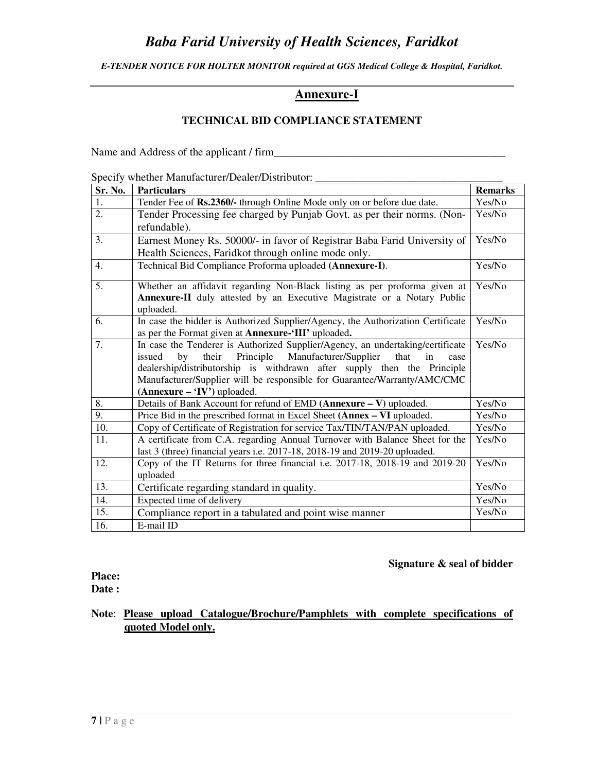*E-TENDER NOTICE FOR HOLTER MONITOR required at GGS Medical College & Hospital, Faridkot.* 

## **Annexure-I**

### **TECHNICAL BID COMPLIANCE STATEMENT**

Name and Address of the applicant / firm\_\_\_\_\_\_\_\_\_\_\_\_\_\_\_\_\_\_\_\_\_\_\_\_\_\_\_\_\_\_\_\_\_\_\_\_\_\_\_\_\_\_

Specify whether Manufacturer/Dealer/Distributor:

| Sr. No.           | <b>Particulars</b>                                                                                        | <b>Remarks</b> |
|-------------------|-----------------------------------------------------------------------------------------------------------|----------------|
| 1.                | Tender Fee of Rs.2360/- through Online Mode only on or before due date.                                   | Yes/No         |
| $\overline{2}$ .  | Tender Processing fee charged by Punjab Govt. as per their norms. (Non-                                   | Yes/No         |
|                   | refundable).                                                                                              |                |
| 3.                | Earnest Money Rs. 50000/- in favor of Registrar Baba Farid University of                                  | Yes/No         |
|                   | Health Sciences, Faridkot through online mode only.                                                       |                |
| 4.                | Technical Bid Compliance Proforma uploaded (Annexure-I).                                                  | Yes/No         |
| 5.                | Whether an affidavit regarding Non-Black listing as per proforma given at                                 | Yes/No         |
|                   | Annexure-II duly attested by an Executive Magistrate or a Notary Public<br>uploaded.                      |                |
| 6.                | In case the bidder is Authorized Supplier/Agency, the Authorization Certificate                           | Yes/No         |
|                   | as per the Format given at Annexure-'III' uploaded.                                                       |                |
| 7.                | In case the Tenderer is Authorized Supplier/Agency, an undertaking/certificate                            | Yes/No         |
|                   | Principle<br>Manufacturer/Supplier<br>their<br>that<br>issued<br>by<br>in<br>case                         |                |
|                   | dealership/distributorship is withdrawn after supply then the Principle                                   |                |
|                   | Manufacturer/Supplier will be responsible for Guarantee/Warranty/AMC/CMC<br>$(Annexure - 'IV')$ uploaded. |                |
| 8.                | Details of Bank Account for refund of EMD (Annexure - V) uploaded.                                        | Yes/No         |
| 9.                | Price Bid in the prescribed format in Excel Sheet (Annex - VI uploaded.                                   | Yes/No         |
| $\overline{10}$ . | Copy of Certificate of Registration for service Tax/TIN/TAN/PAN uploaded.                                 | Yes/No         |
| 11.               | A certificate from C.A. regarding Annual Turnover with Balance Sheet for the                              | Yes/No         |
|                   | last 3 (three) financial years i.e. 2017-18, 2018-19 and 2019-20 uploaded.                                |                |
| 12.               | Copy of the IT Returns for three financial i.e. 2017-18, 2018-19 and 2019-20                              | Yes/No         |
|                   | uploaded                                                                                                  |                |
| 13.               | Certificate regarding standard in quality.                                                                | Yes/No         |
| 14.               | Expected time of delivery                                                                                 | Yes/No         |
| 15.               | Compliance report in a tabulated and point wise manner                                                    | Yes/No         |
| 16.               | E-mail ID                                                                                                 |                |

#### **Signature & seal of bidder**

**Place: Date :** 

**Note**: **Please upload Catalogue/Brochure/Pamphlets with complete specifications of quoted Model only.**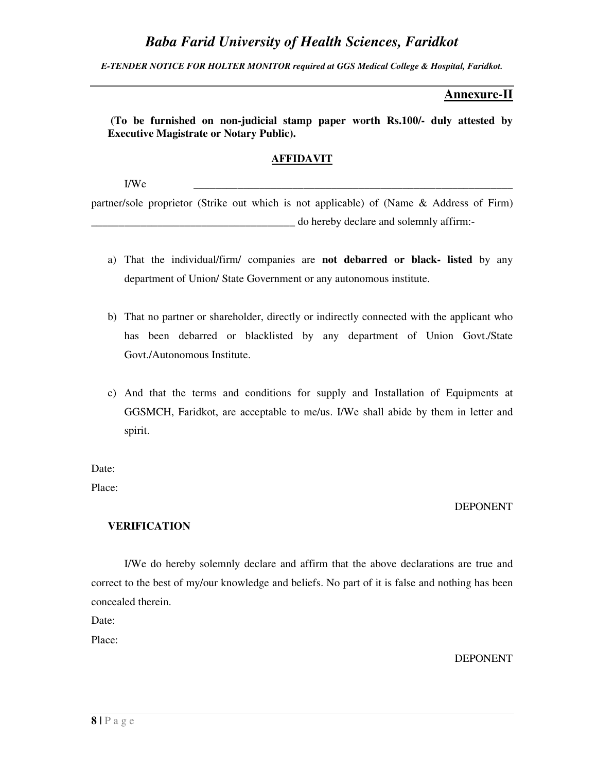*E-TENDER NOTICE FOR HOLTER MONITOR required at GGS Medical College & Hospital, Faridkot.* 

### **Annexure-II**

 **(To be furnished on non-judicial stamp paper worth Rs.100/- duly attested by Executive Magistrate or Notary Public).** 

#### **AFFIDAVIT**

I/We \_\_\_\_\_\_\_\_\_\_\_\_\_\_\_\_\_\_\_\_\_\_\_\_\_\_\_\_\_\_\_\_\_\_\_\_\_\_\_\_\_\_\_\_\_\_\_\_\_\_\_\_\_\_\_\_\_\_

partner/sole proprietor (Strike out which is not applicable) of (Name & Address of Firm) \_\_\_\_\_\_\_\_\_\_\_\_\_\_\_\_\_\_\_\_\_\_\_\_\_\_\_\_\_\_\_\_\_\_\_\_\_ do hereby declare and solemnly affirm:-

- a) That the individual/firm/ companies are **not debarred or black- listed** by any department of Union/ State Government or any autonomous institute.
- b) That no partner or shareholder, directly or indirectly connected with the applicant who has been debarred or blacklisted by any department of Union Govt./State Govt./Autonomous Institute.
- c) And that the terms and conditions for supply and Installation of Equipments at GGSMCH, Faridkot, are acceptable to me/us. I/We shall abide by them in letter and spirit.

Date:

Place:

#### DEPONENT

#### **VERIFICATION**

I/We do hereby solemnly declare and affirm that the above declarations are true and correct to the best of my/our knowledge and beliefs. No part of it is false and nothing has been concealed therein.

Date:

Place:

DEPONENT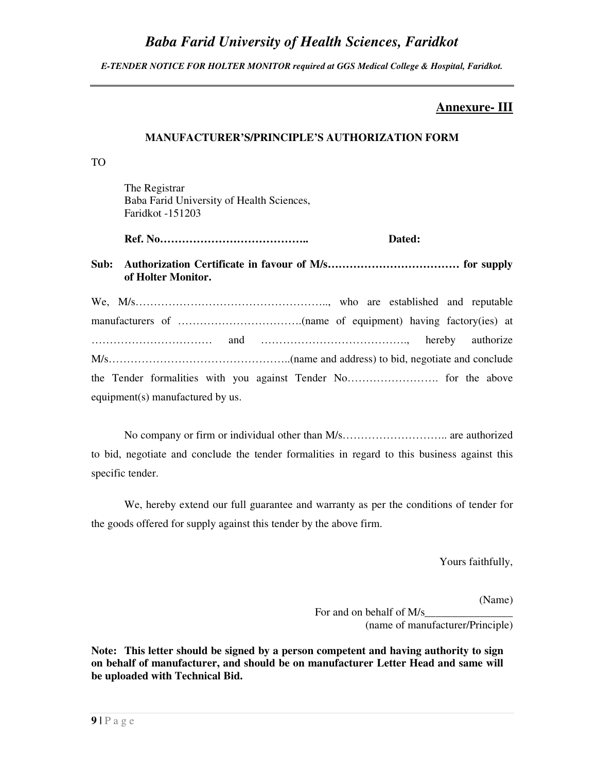*E-TENDER NOTICE FOR HOLTER MONITOR required at GGS Medical College & Hospital, Faridkot.* 

## **Annexure- III**

#### **MANUFACTURER'S/PRINCIPLE'S AUTHORIZATION FORM**

TO

 The Registrar Baba Farid University of Health Sciences, Faridkot -151203

 **Ref. No………………………………….. Dated:** 

**Sub: Authorization Certificate in favour of M/s……………………………… for supply of Holter Monitor.** 

We, M/s…………………………………………….., who are established and reputable manufacturers of …………………………….(name of equipment) having factory(ies) at …………………………… and …………………………………., hereby authorize M/s…………………………………………..(name and address) to bid, negotiate and conclude the Tender formalities with you against Tender No……………………. for the above equipment(s) manufactured by us.

No company or firm or individual other than M/s……………………….. are authorized to bid, negotiate and conclude the tender formalities in regard to this business against this specific tender.

 We, hereby extend our full guarantee and warranty as per the conditions of tender for the goods offered for supply against this tender by the above firm.

Yours faithfully,

(Name)

For and on behalf of M/s (name of manufacturer/Principle)

**Note: This letter should be signed by a person competent and having authority to sign on behalf of manufacturer, and should be on manufacturer Letter Head and same will be uploaded with Technical Bid.**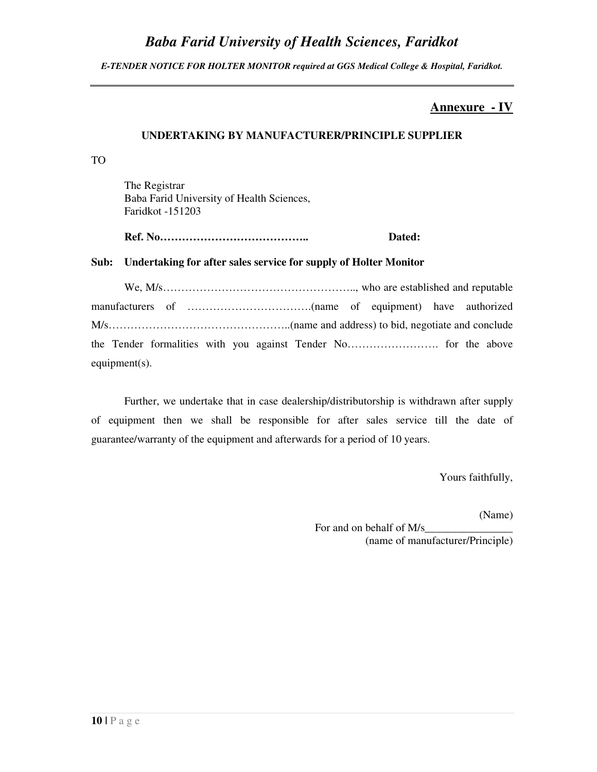*E-TENDER NOTICE FOR HOLTER MONITOR required at GGS Medical College & Hospital, Faridkot.* 

## **Annexure - IV**

#### **UNDERTAKING BY MANUFACTURER/PRINCIPLE SUPPLIER**

TO

 The Registrar Baba Farid University of Health Sciences, Faridkot -151203

 **Ref. No………………………………….. Dated:** 

#### **Sub: Undertaking for after sales service for supply of Holter Monitor**

We, M/s…………………………………………….., who are established and reputable manufacturers of …………………………….(name of equipment) have authorized M/s…………………………………………..(name and address) to bid, negotiate and conclude the Tender formalities with you against Tender No……………………. for the above equipment(s).

Further, we undertake that in case dealership/distributorship is withdrawn after supply of equipment then we shall be responsible for after sales service till the date of guarantee/warranty of the equipment and afterwards for a period of 10 years.

Yours faithfully,

(Name)

For and on behalf of M/s (name of manufacturer/Principle)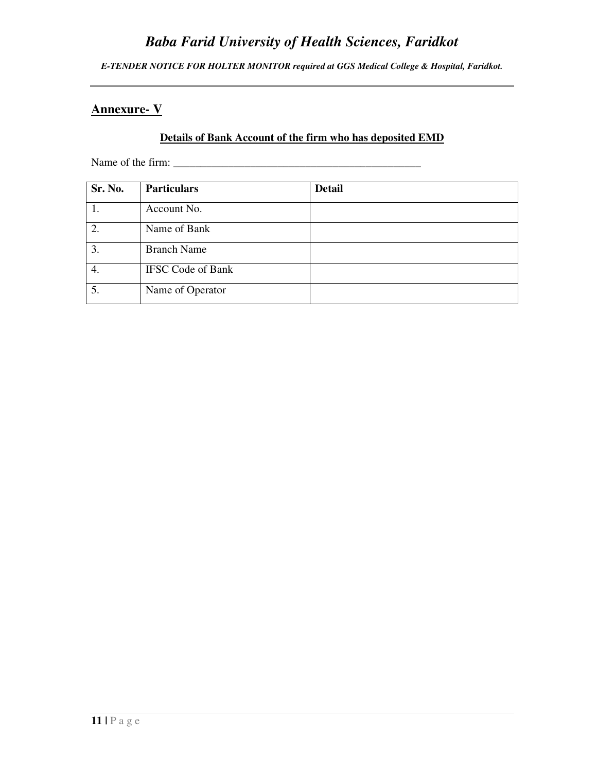*E-TENDER NOTICE FOR HOLTER MONITOR required at GGS Medical College & Hospital, Faridkot.* 

## **Annexure- V**

### **Details of Bank Account of the firm who has deposited EMD**

Name of the firm: \_\_\_\_\_\_\_\_\_\_\_\_\_\_\_\_\_\_\_\_\_\_\_\_\_\_\_\_\_\_\_\_\_\_\_\_\_\_\_\_\_\_\_\_\_

| Sr. No.          | <b>Particulars</b>       | <b>Detail</b> |
|------------------|--------------------------|---------------|
|                  | Account No.              |               |
| $\overline{2}$ . | Name of Bank             |               |
| 3.               | <b>Branch Name</b>       |               |
| 4.               | <b>IFSC Code of Bank</b> |               |
| 5.               | Name of Operator         |               |